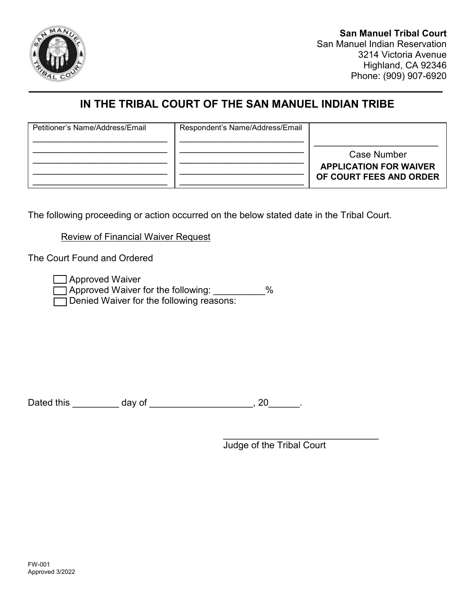

# **IN THE TRIBAL COURT OF THE SAN MANUEL INDIAN TRIBE**

| Petitioner's Name/Address/Email | Respondent's Name/Address/Email |                                                                         |
|---------------------------------|---------------------------------|-------------------------------------------------------------------------|
|                                 |                                 | Case Number<br><b>APPLICATION FOR WAIVER</b><br>OF COURT FEES AND ORDER |

The following proceeding or action occurred on the below stated date in the Tribal Court.

Review of Financial Waiver Request

The Court Found and Ordered

□ Approved Waiver

□ Approved Waiver for the following: 2000 2000 □ Denied Waiver for the following reasons:

Dated this \_\_\_\_\_\_\_\_\_\_ day of \_\_\_\_\_\_\_\_\_\_\_\_\_\_\_\_\_\_\_\_\_, 20\_\_\_\_\_\_\_.

\_\_\_\_\_\_\_\_\_\_\_\_\_\_\_\_\_\_\_\_\_\_\_\_\_\_\_\_\_\_ Judge of the Tribal Court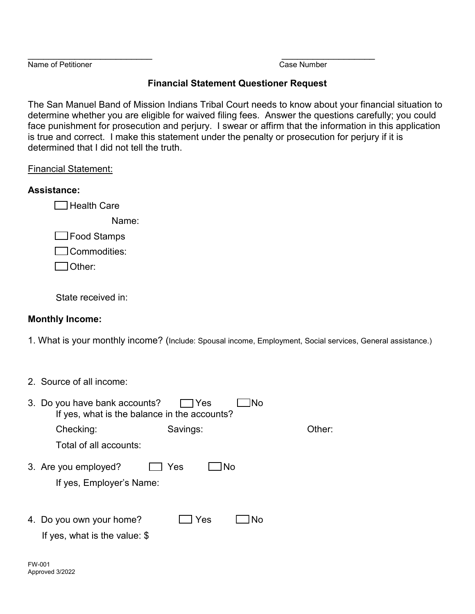Name of Petitioner Case Number

 $\overline{\phantom{a}}$  , and the contract of the contract of the contract of the contract of the contract of the contract of the contract of the contract of the contract of the contract of the contract of the contract of the contrac

## **Financial Statement Questioner Request**

The San Manuel Band of Mission Indians Tribal Court needs to know about your financial situation to determine whether you are eligible for waived filing fees. Answer the questions carefully; you could face punishment for prosecution and perjury. I swear or affirm that the information in this application is true and correct. I make this statement under the penalty or prosecution for perjury if it is determined that I did not tell the truth.

### Financial Statement:

## **Assistance:**

 $\Box$  Health Care

Name<sup>·</sup>

□Food Stamps

 $\Box$  Commodities:

Other: **with the contract of the contract of the contract of the contract of the contract of the contract of the contract of the contract of the contract of the contract of the contract of the contract of the contract of t** 

State received in:

## **Monthly Income:**

1. What is your monthly income? (Include: Spousal income, Employment, Social services, General assistance.)

2. Source of all income:

| 3. Do you have bank accounts?<br>If yes, what is the balance in the accounts? | 7Yes<br>lNo      |        |  |  |  |
|-------------------------------------------------------------------------------|------------------|--------|--|--|--|
| Checking:                                                                     | Savings:         | Other: |  |  |  |
| Total of all accounts:                                                        |                  |        |  |  |  |
| 3. Are you employed?<br>If yes, Employer's Name:                              | Yes<br><b>No</b> |        |  |  |  |
| 4. Do you own your home?<br>If yes, what is the value: $$$                    | Yes<br>No        |        |  |  |  |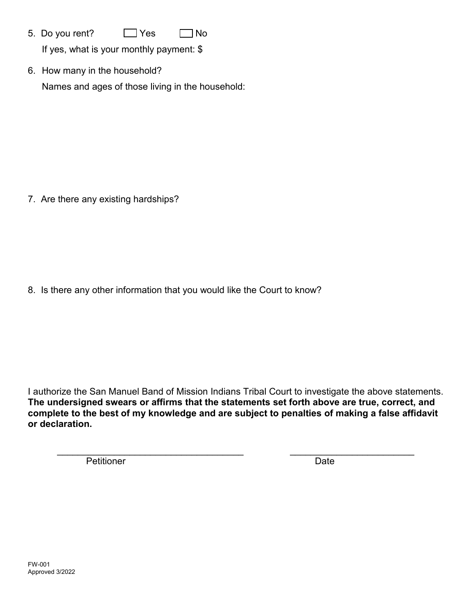- 5. Do you rent?  $\Box$  Yes ∩ No If yes, what is your monthly payment: \$
- 6. How many in the household? Names and ages of those living in the household:

7. Are there any existing hardships?

8. Is there any other information that you would like the Court to know?

I authorize the San Manuel Band of Mission Indians Tribal Court to investigate the above statements. The undersigned swears or affirms that the statements set forth above are true, correct, and complete to the best of my knowledge and are subject to penalties of making a false affidavit or declaration.

Petitioner

Date